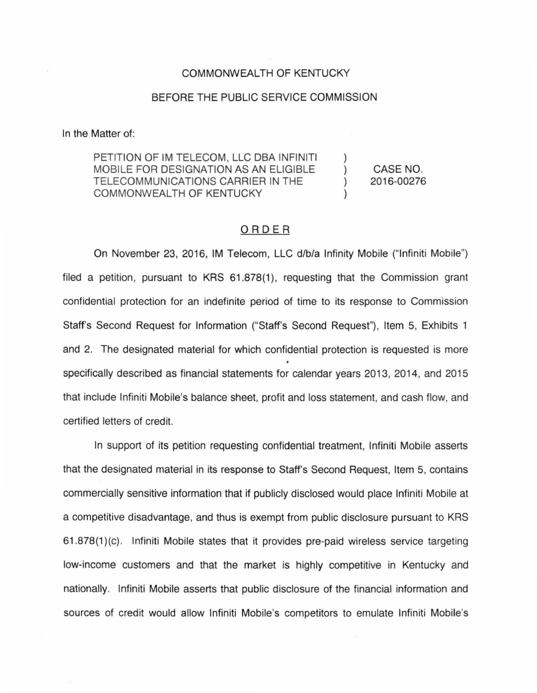## COMMONWEALTH OF KENTUCKY

## BEFORE THE PUBLIC SERVICE COMMISSION

In the Matter of:

PETITION OF IM TELECOM, LLC DBA INFINITI MOBILE FOR DESIGNATION AS AN ELIGIBLE TELECOMMUNICATIONS CARRIER IN THE COMMONWEALTH OF KENTUCKY

CASE NO. 2016-00276

## ORDER

On November 23, 2016, IM Telecom, LLC d/b/a Infinity Mobile ("lnfiniti Mobile") filed a petition, pursuant to KRS 61.878(1), requesting that the Commission grant confidential protection for an indefinite period of time to its response to Commission Staff's Second Request for Information ("Staff's Second Request"), Item 5, Exhibits 1 and 2. The designated material for which confidential protection is requested is more specifically described as financial statements for calendar years 2013, 2014, and 2015 that include lnfiniti Mobile's balance sheet, profit and loss statement, and cash flow, and certified letters of credit.

In support of its petition requesting confidential treatment, lnfiniti Mobile asserts that the designated material in its response to Staff's Second Request, Item 5, contains commercially sensitive information that if publicly disclosed would place lnfiniti Mobile at a competitive disadvantage, and thus is exempt from public disclosure pursuant to KRS 61.878(1 )(c). lnfiniti Mobile states that it provides pre-paid wireless service targeting low-income customers and that the market is highly competitive in Kentucky and nationally. lnfiniti Mobile asserts that public disclosure of the financial information and sources of credit would allow lnfiniti Mobile's competitors to emulate lnfiniti Mobile's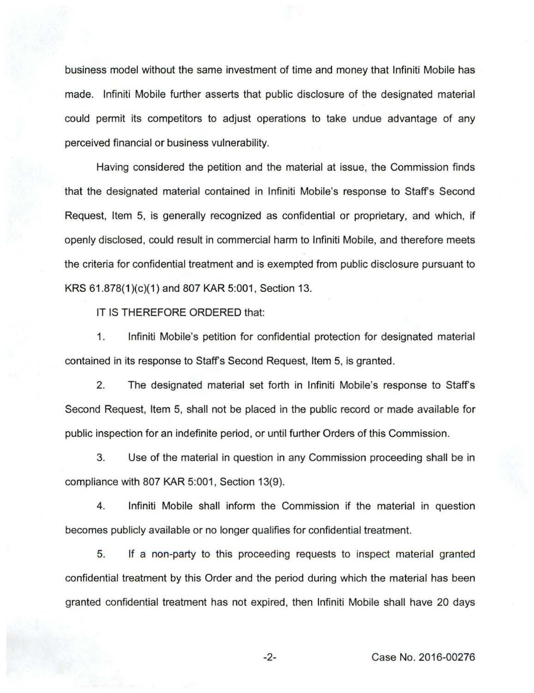business model without the same investment of time and money that lnfiniti Mobile has made. lnfiniti Mobile further asserts that public disclosure of the designated material could permit its competitors to adjust operations to take undue advantage of any perceived financial or business vulnerability.

Having considered the petition and the material at issue, the Commission finds that the designated material contained in lnfiniti Mobile's response to Staffs Second Request, Item 5, is generally recognized as confidential or proprietary, and which, if openly disclosed, could result in commercial harm to lnfiniti Mobile, and therefore meets the criteria for confidential treatment and is exempted from public disclosure pursuant to KRS 61.878(1)(c)(1) and 807 KAR 5:001, Section 13.

IT IS THEREFORE ORDERED that:

1. lnfiniti Mobile's petition for confidential protection for designated material contained in its response to Staffs Second Request. Item 5, is granted.

2. The designated material set forth in lnfiniti Mobile's response to Staffs Second Request, Item 5, shall not be placed in the public record or made available for public inspection for an indefinite period, or until further Orders of this Commission.

3. Use of the material in question in any Commission proceeding shall be in compliance with 807 KAR 5:001, Section 13(9).

4. lnfiniti Mobile shall inform the Commission if the material in question becomes publicly available or no longer qualifies for confidential treatment.

5. If a non-party to this proceeding requests to inspect material granted confidential treatment by this Order and the period during which the material has been granted confidential treatment has not expired, then lnfiniti Mobile shall have 20 days

-2- Case No. 2016-00276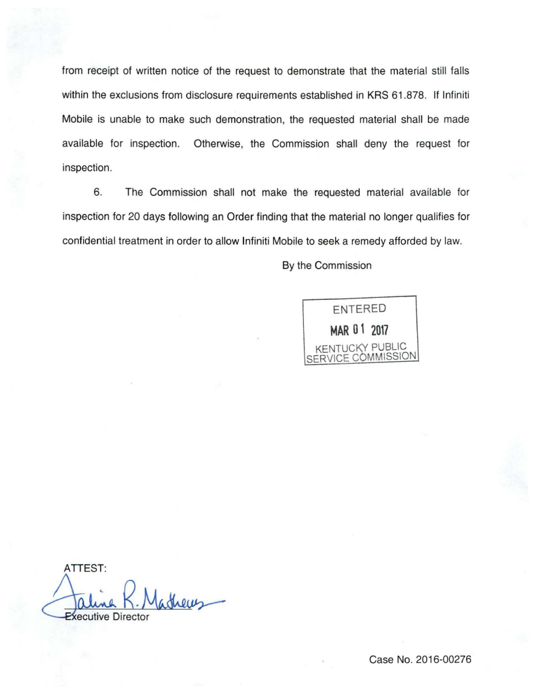from receipt of written notice of the request to demonstrate that the material still falls within the exclusions from disclosure requirements established in KRS 61.878. If Infiniti Mobile is unable to make such demonstration, the requested material shall be made available for inspection. Otherwise, the Commission shall deny the request for inspection.

6. The Commission shall not make the requested material available for inspection for 20 days following an Order finding that the material no longer qualifies for confidential treatment in order to allow lnfiniti Mobile to seek a remedy afforded by law.

By the Commission

ENTERED **MAR 01 2017**  KENTUCKY PUBLIC SERVICE COMMISSION

ATTEST: istreas **Executive Director**